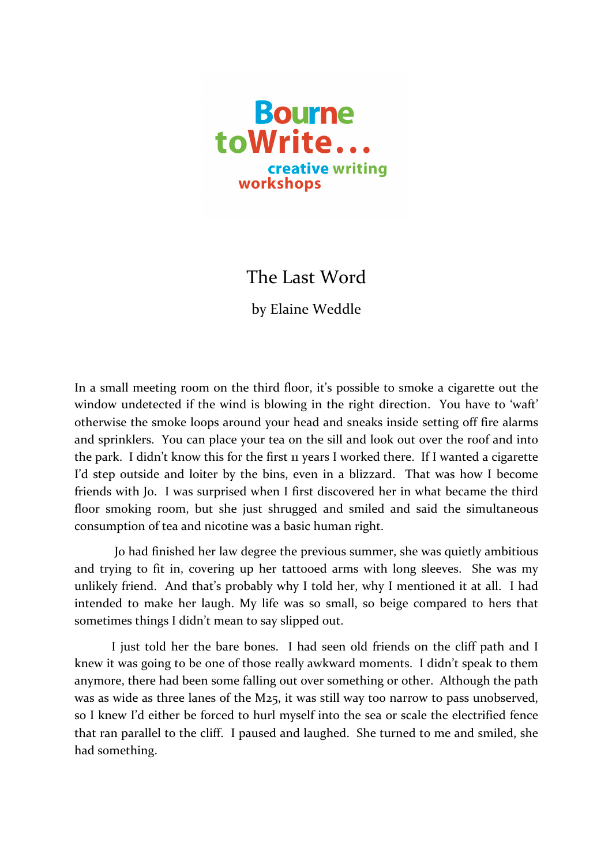

## The Last Word

by Elaine Weddle

In a small meeting room on the third floor, it's possible to smoke a cigarette out the window undetected if the wind is blowing in the right direction. You have to 'waft' otherwise the smoke loops around your head and sneaks inside setting off fire alarms and sprinklers. You can place your tea on the sill and look out over the roof and into the park. I didn't know this for the first 11 years I worked there. If I wanted a cigarette I'd step outside and loiter by the bins, even in a blizzard. That was how I become friends with Jo. I was surprised when I first discovered her in what became the third floor smoking room, but she just shrugged and smiled and said the simultaneous consumption of tea and nicotine was a basic human right.

Jo had finished her law degree the previous summer, she was quietly ambitious and trying to fit in, covering up her tattooed arms with long sleeves. She was my unlikely friend. And that's probably why I told her, why I mentioned it at all. I had intended to make her laugh. My life was so small, so beige compared to hers that sometimes things I didn't mean to say slipped out.

I just told her the bare bones. I had seen old friends on the cliff path and I knew it was going to be one of those really awkward moments. I didn't speak to them anymore, there had been some falling out over something or other. Although the path was as wide as three lanes of the M25, it was still way too narrow to pass unobserved, so I knew I'd either be forced to hurl myself into the sea or scale the electrified fence that ran parallel to the cliff. I paused and laughed. She turned to me and smiled, she had something.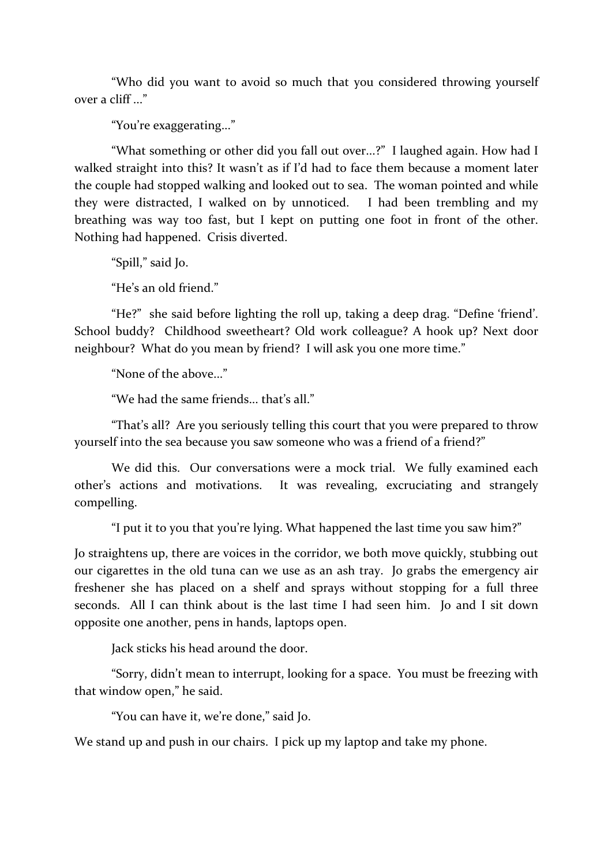"Who did you want to avoid so much that you considered throwing yourself over a cliff ..."

"You're exaggerating..."

"What something or other did you fall out over...?" I laughed again. How had I walked straight into this? It wasn't as if I'd had to face them because a moment later the couple had stopped walking and looked out to sea. The woman pointed and while they were distracted, I walked on by unnoticed. I had been trembling and my breathing was way too fast, but I kept on putting one foot in front of the other. Nothing had happened. Crisis diverted.

"Spill," said Io.

"He's an old friend."

"He?" she said before lighting the roll up, taking a deep drag. "Define 'friend'. School buddy? Childhood sweetheart? Old work colleague? A hook up? Next door neighbour? What do you mean by friend? I will ask you one more time."

"None of the above..."

"We had the same friends... that's all."

"That's all? Are you seriously telling this court that you were prepared to throw yourself into the sea because you saw someone who was a friend of a friend?"

We did this. Our conversations were a mock trial. We fully examined each other's actions and motivations. It was revealing, excruciating and strangely compelling.

"I put it to you that you're lying. What happened the last time you saw him?"

Jo straightens up, there are voices in the corridor, we both move quickly, stubbing out our cigarettes in the old tuna can we use as an ash tray. Jo grabs the emergency air freshener she has placed on a shelf and sprays without stopping for a full three seconds. All I can think about is the last time I had seen him. Jo and I sit down opposite one another, pens in hands, laptops open.

Jack sticks his head around the door.

"Sorry, didn't mean to interrupt, looking for a space. You must be freezing with that window open," he said.

"You can have it, we're done," said Jo.

We stand up and push in our chairs. I pick up my laptop and take my phone.